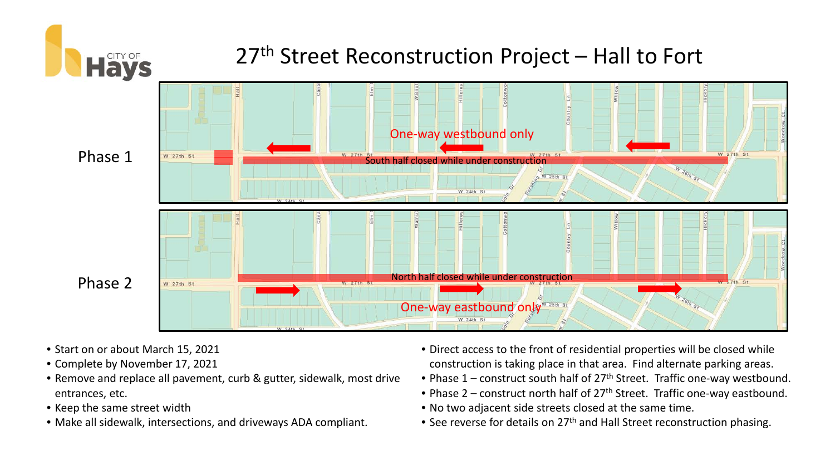

- Start on or about March 15, 2021
- Complete by November 17, 2021
- Remove and replace all pavement, curb & gutter, sidewalk, most drive entrances, etc.
- Keep the same street width
- Make all sidewalk, intersections, and driveways ADA compliant.
- Direct access to the front of residential properties will be closed while construction is taking place in that area. Find alternate parking areas.
- Phase  $1$  construct south half of 27<sup>th</sup> Street. Traffic one-way westbound.
- Phase  $2$  construct north half of  $27<sup>th</sup>$  Street. Traffic one-way eastbound.
- No two adjacent side streets closed at the same time.
- See reverse for details on 27<sup>th</sup> and Hall Street reconstruction phasing.